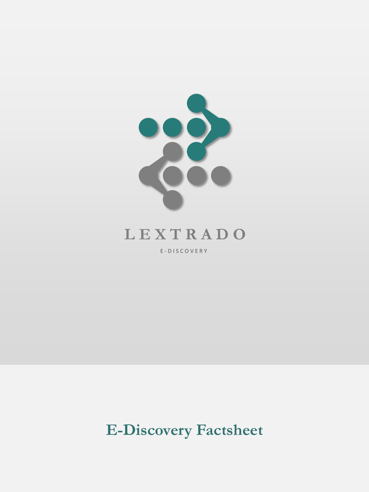

# **L E X T R A D O** E - D I S C O V E R Y

**E-Discovery Factsheet**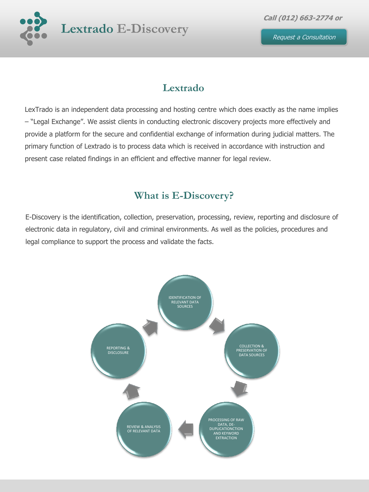

# **Lextrado**

LexTrado is an independent data processing and hosting centre which does exactly as the name implies – "Legal Exchange". We assist clients in conducting electronic discovery projects more effectively and provide a platform for the secure and confidential exchange of information during judicial matters. The primary function of Lextrado is to process data which is received in accordance with instruction and present case related findings in an efficient and effective manner for legal review.

# **What is E-Discovery?**

E-Discovery is the identification, collection, preservation, processing, review, reporting and disclosure of electronic data in regulatory, civil and criminal environments. As well as the policies, procedures and legal compliance to support the process and validate the facts.

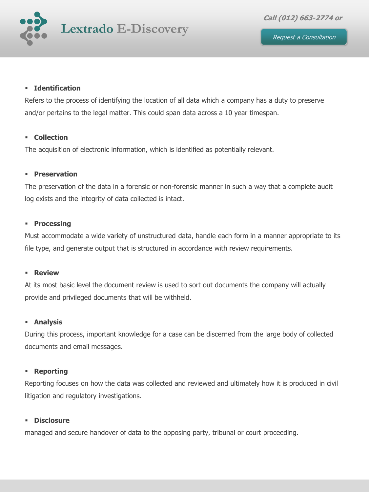

#### **Identification**

Refers to the process of identifying the location of all data which a company has a duty to preserve and/or pertains to the legal matter. This could span data across a 10 year timespan.

#### **Collection**

The acquisition of electronic information, which is identified as potentially relevant.

#### **Preservation**

The preservation of the data in a forensic or non-forensic manner in such a way that a complete audit log exists and the integrity of data collected is intact.

#### **Processing**

Must accommodate a wide variety of unstructured data, handle each form in a manner appropriate to its file type, and generate output that is structured in accordance with review requirements.

#### **Review**

At its most basic level the document review is used to sort out documents the company will actually provide and privileged documents that will be withheld.

#### **Analysis**

During this process, important knowledge for a case can be discerned from the large body of collected documents and email messages.

#### **Reporting**

Reporting focuses on how the data was collected and reviewed and ultimately how it is produced in civil litigation and regulatory investigations.

#### **Disclosure**

managed and secure handover of data to the opposing party, tribunal or court proceeding.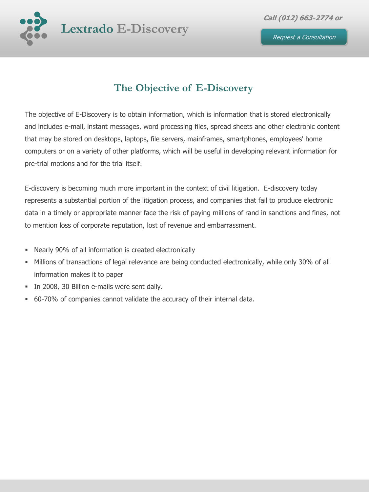

# **The Objective of E-Discovery**

The objective of E-Discovery is to obtain information, which is information that is stored electronically and includes e-mail, instant messages, word processing files, spread sheets and other electronic content that may be stored on desktops, laptops, file servers, mainframes, smartphones, employees' home computers or on a variety of other platforms, which will be useful in developing relevant information for pre-trial motions and for the trial itself.

E-discovery is becoming much more important in the context of civil litigation. E-discovery today represents a substantial portion of the litigation process, and companies that fail to produce electronic data in a timely or appropriate manner face the risk of paying millions of rand in sanctions and fines, not to mention loss of corporate reputation, lost of revenue and embarrassment.

- Nearly 90% of all information is created electronically
- Millions of transactions of legal relevance are being conducted electronically, while only 30% of all information makes it to paper
- In 2008, 30 Billion e-mails were sent daily.
- 60-70% of companies cannot validate the accuracy of their internal data.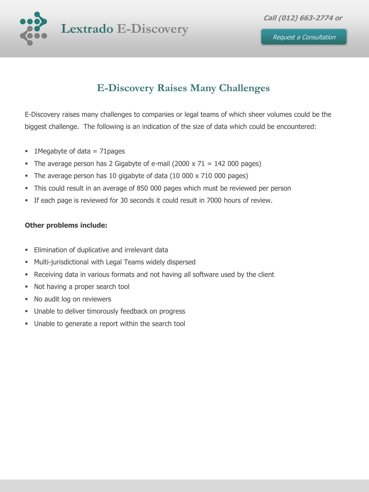

# **E-Discovery Raises Many Challenges**

E-Discovery raises many challenges to companies or legal teams of which sheer volumes could be the biggest challenge. The following is an indication of the size of data which could be encountered:

- $\blacksquare$  1 Megabyte of data = 71 pages
- The average person has 2 Gigabyte of e-mail  $(2000 \times 71 = 142 000 \text{ pages})$
- The average person has 10 gigabyte of data (10 000 x 710 000 pages)
- This could result in an average of 850 000 pages which must be reviewed per person
- If each page is reviewed for 30 seconds it could result in 7000 hours of review.

#### **Other problems include:**

- **Elimination of duplicative and irrelevant data**
- Multi-jurisdictional with Legal Teams widely dispersed
- Receiving data in various formats and not having all software used by the client
- Not having a proper search tool
- No audit log on reviewers
- **Unable to deliver timorously feedback on progress**
- **Unable to generate a report within the search tool**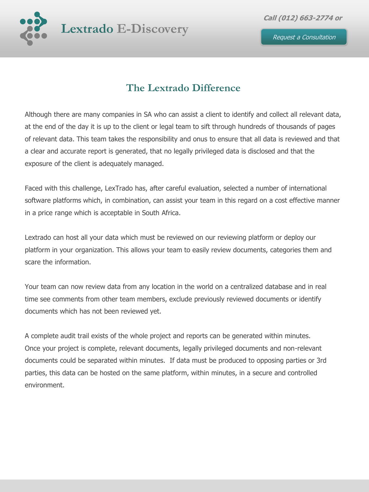

### **The Lextrado Difference**

Although there are many companies in SA who can assist a client to identify and collect all relevant data, at the end of the day it is up to the client or legal team to sift through hundreds of thousands of pages of relevant data. This team takes the responsibility and onus to ensure that all data is reviewed and that a clear and accurate report is generated, that no legally privileged data is disclosed and that the exposure of the client is adequately managed.

Faced with this challenge, LexTrado has, after careful evaluation, selected a number of international software platforms which, in combination, can assist your team in this regard on a cost effective manner in a price range which is acceptable in South Africa.

Lextrado can host all your data which must be reviewed on our reviewing platform or deploy our platform in your organization. This allows your team to easily review documents, categories them and scare the information.

Your team can now review data from any location in the world on a centralized database and in real time see comments from other team members, exclude previously reviewed documents or identify documents which has not been reviewed yet.

A complete audit trail exists of the whole project and reports can be generated within minutes. Once your project is complete, relevant documents, legally privileged documents and non-relevant documents could be separated within minutes. If data must be produced to opposing parties or 3rd parties, this data can be hosted on the same platform, within minutes, in a secure and controlled environment.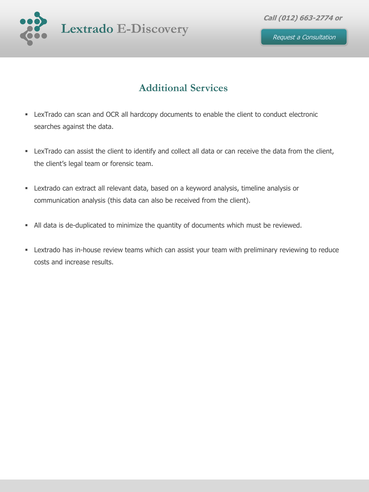

# **Additional Services**

- LexTrado can scan and OCR all hardcopy documents to enable the client to conduct electronic searches against the data.
- LexTrado can assist the client to identify and collect all data or can receive the data from the client, the client's legal team or forensic team.
- Lextrado can extract all relevant data, based on a keyword analysis, timeline analysis or communication analysis (this data can also be received from the client).
- All data is de-duplicated to minimize the quantity of documents which must be reviewed.
- Lextrado has in-house review teams which can assist your team with preliminary reviewing to reduce costs and increase results.